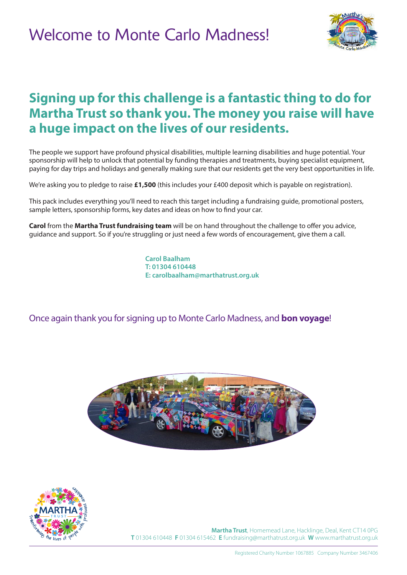

## **Signing up for this challenge is a fantastic thing to do for Martha Trust so thank you. The money you raise will have a huge impact on the lives of our residents.**

The people we support have profound physical disabilities, multiple learning disabilities and huge potential. Your sponsorship will help to unlock that potential by funding therapies and treatments, buying specialist equipment, paying for day trips and holidays and generally making sure that our residents get the very best opportunities in life.

We're asking you to pledge to raise **£1,500** (this includes your £400 deposit which is payable on registration).

This pack includes everything you'll need to reach this target including a fundraising guide, promotional posters, sample letters, sponsorship forms, key dates and ideas on how to find your car.

**Carol** from the **Martha Trust fundraising team** will be on hand throughout the challenge to offer you advice, guidance and support. So if you're struggling or just need a few words of encouragement, give them a call.

> **Carol Baalham T: 01304 610448 E: carolbaalham@marthatrust.org.uk**

Once again thank you for signing up to Monte Carlo Madness, and **bon voyage**!





**Martha Trust**, Homemead Lane, Hacklinge, Deal, Kent CT14 0PG **T** 01304 610448 **F** 01304 615462 **E** fundraising@marthatrust.org.uk **W** www.marthatrust.org.uk